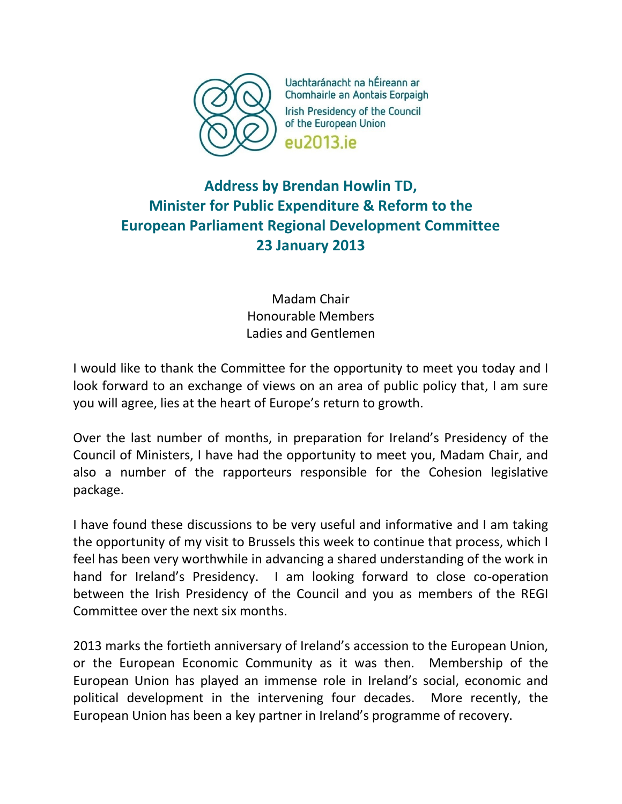

Uachtaránacht na hÉireann ar Chomhairle an Aontais Eorpaigh **Irish Presidency of the Council** of the European Union eu2013.ie

## **Address by Brendan Howlin TD, Minister for Public Expenditure & Reform to the European Parliament Regional Development Committee 23 January 2013**

Madam Chair Honourable Members Ladies and Gentlemen

I would like to thank the Committee for the opportunity to meet you today and I look forward to an exchange of views on an area of public policy that, I am sure you will agree, lies at the heart of Europe's return to growth.

Over the last number of months, in preparation for Ireland's Presidency of the Council of Ministers, I have had the opportunity to meet you, Madam Chair, and also a number of the rapporteurs responsible for the Cohesion legislative package.

I have found these discussions to be very useful and informative and I am taking the opportunity of my visit to Brussels this week to continue that process, which I feel has been very worthwhile in advancing a shared understanding of the work in hand for Ireland's Presidency. I am looking forward to close co-operation between the Irish Presidency of the Council and you as members of the REGI Committee over the next six months.

2013 marks the fortieth anniversary of Ireland's accession to the European Union, or the European Economic Community as it was then. Membership of the European Union has played an immense role in Ireland's social, economic and political development in the intervening four decades. More recently, the European Union has been a key partner in Ireland's programme of recovery.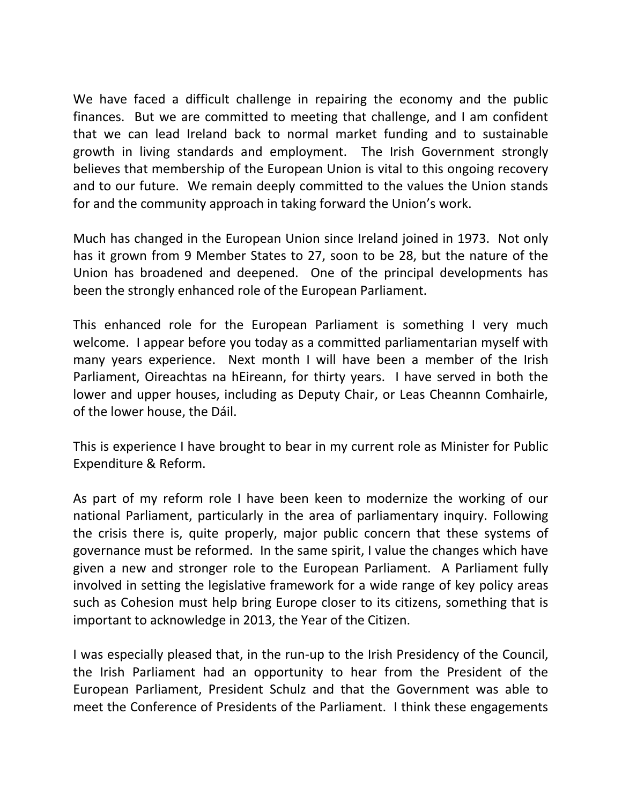We have faced a difficult challenge in repairing the economy and the public finances. But we are committed to meeting that challenge, and I am confident that we can lead Ireland back to normal market funding and to sustainable growth in living standards and employment. The Irish Government strongly believes that membership of the European Union is vital to this ongoing recovery and to our future. We remain deeply committed to the values the Union stands for and the community approach in taking forward the Union's work.

Much has changed in the European Union since Ireland joined in 1973. Not only has it grown from 9 Member States to 27, soon to be 28, but the nature of the Union has broadened and deepened. One of the principal developments has been the strongly enhanced role of the European Parliament.

This enhanced role for the European Parliament is something I very much welcome. I appear before you today as a committed parliamentarian myself with many years experience. Next month I will have been a member of the Irish Parliament, Oireachtas na hEireann, for thirty years. I have served in both the lower and upper houses, including as Deputy Chair, or Leas Cheannn Comhairle, of the lower house, the Dáil.

This is experience I have brought to bear in my current role as Minister for Public Expenditure & Reform.

As part of my reform role I have been keen to modernize the working of our national Parliament, particularly in the area of parliamentary inquiry. Following the crisis there is, quite properly, major public concern that these systems of governance must be reformed. In the same spirit, I value the changes which have given a new and stronger role to the European Parliament. A Parliament fully involved in setting the legislative framework for a wide range of key policy areas such as Cohesion must help bring Europe closer to its citizens, something that is important to acknowledge in 2013, the Year of the Citizen.

I was especially pleased that, in the run-up to the Irish Presidency of the Council, the Irish Parliament had an opportunity to hear from the President of the European Parliament, President Schulz and that the Government was able to meet the Conference of Presidents of the Parliament. I think these engagements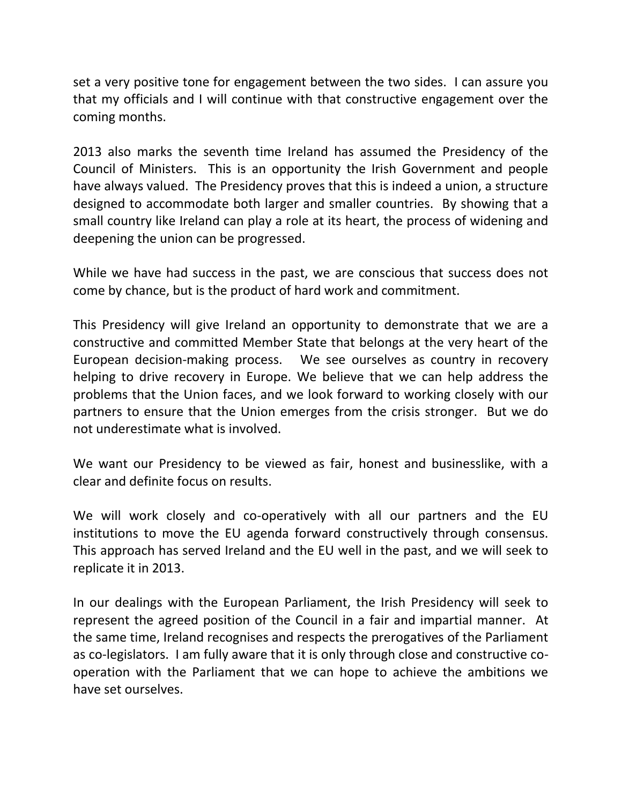set a very positive tone for engagement between the two sides. I can assure you that my officials and I will continue with that constructive engagement over the coming months.

2013 also marks the seventh time Ireland has assumed the Presidency of the Council of Ministers. This is an opportunity the Irish Government and people have always valued. The Presidency proves that this is indeed a union, a structure designed to accommodate both larger and smaller countries. By showing that a small country like Ireland can play a role at its heart, the process of widening and deepening the union can be progressed.

While we have had success in the past, we are conscious that success does not come by chance, but is the product of hard work and commitment.

This Presidency will give Ireland an opportunity to demonstrate that we are a constructive and committed Member State that belongs at the very heart of the European decision-making process. We see ourselves as country in recovery helping to drive recovery in Europe. We believe that we can help address the problems that the Union faces, and we look forward to working closely with our partners to ensure that the Union emerges from the crisis stronger. But we do not underestimate what is involved.

We want our Presidency to be viewed as fair, honest and businesslike, with a clear and definite focus on results.

We will work closely and co-operatively with all our partners and the EU institutions to move the EU agenda forward constructively through consensus. This approach has served Ireland and the EU well in the past, and we will seek to replicate it in 2013.

In our dealings with the European Parliament, the Irish Presidency will seek to represent the agreed position of the Council in a fair and impartial manner. At the same time, Ireland recognises and respects the prerogatives of the Parliament as co-legislators. I am fully aware that it is only through close and constructive cooperation with the Parliament that we can hope to achieve the ambitions we have set ourselves.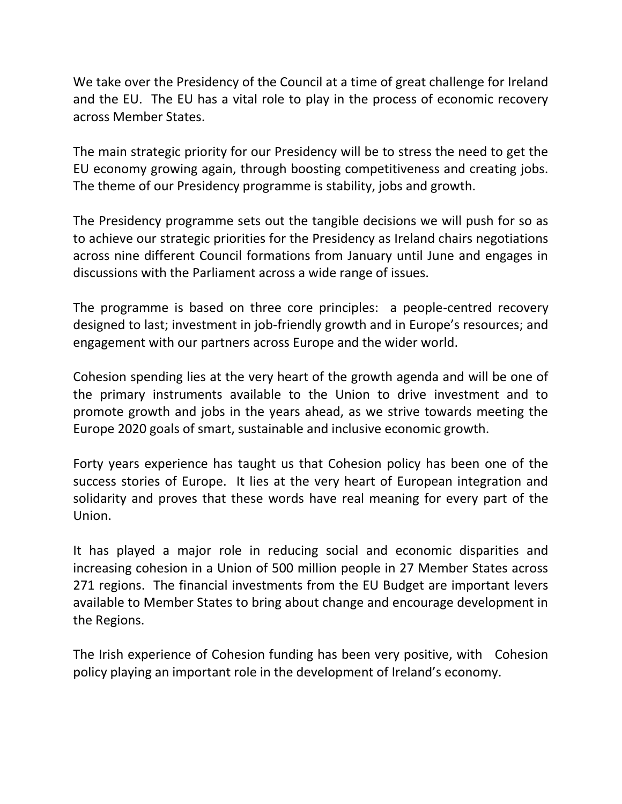We take over the Presidency of the Council at a time of great challenge for Ireland and the EU. The EU has a vital role to play in the process of economic recovery across Member States.

The main strategic priority for our Presidency will be to stress the need to get the EU economy growing again, through boosting competitiveness and creating jobs. The theme of our Presidency programme is stability, jobs and growth.

The Presidency programme sets out the tangible decisions we will push for so as to achieve our strategic priorities for the Presidency as Ireland chairs negotiations across nine different Council formations from January until June and engages in discussions with the Parliament across a wide range of issues.

The programme is based on three core principles: a people-centred recovery designed to last; investment in job-friendly growth and in Europe's resources; and engagement with our partners across Europe and the wider world.

Cohesion spending lies at the very heart of the growth agenda and will be one of the primary instruments available to the Union to drive investment and to promote growth and jobs in the years ahead, as we strive towards meeting the Europe 2020 goals of smart, sustainable and inclusive economic growth.

Forty years experience has taught us that Cohesion policy has been one of the success stories of Europe. It lies at the very heart of European integration and solidarity and proves that these words have real meaning for every part of the Union.

It has played a major role in reducing social and economic disparities and increasing cohesion in a Union of 500 million people in 27 Member States across 271 regions. The financial investments from the EU Budget are important levers available to Member States to bring about change and encourage development in the Regions.

The Irish experience of Cohesion funding has been very positive, with Cohesion policy playing an important role in the development of Ireland's economy.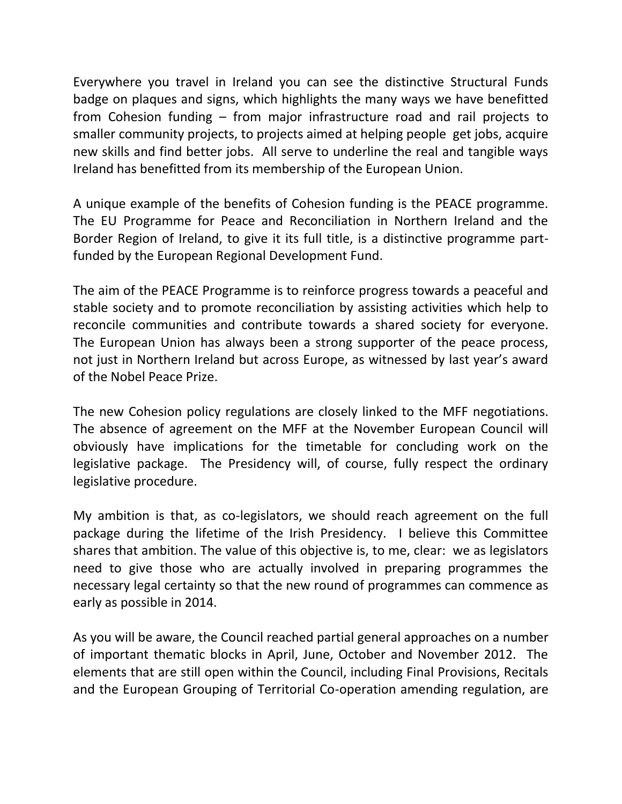Everywhere you travel in Ireland you can see the distinctive Structural Funds badge on plaques and signs, which highlights the many ways we have benefitted from Cohesion funding – from major infrastructure road and rail projects to smaller community projects, to projects aimed at helping people get jobs, acquire new skills and find better jobs. All serve to underline the real and tangible ways Ireland has benefitted from its membership of the European Union.

A unique example of the benefits of Cohesion funding is the PEACE programme. The EU Programme for Peace and Reconciliation in Northern Ireland and the Border Region of Ireland, to give it its full title, is a distinctive programme partfunded by the European Regional Development Fund.

The aim of the PEACE Programme is to reinforce progress towards a peaceful and stable society and to promote reconciliation by assisting activities which help to reconcile communities and contribute towards a shared society for everyone. The European Union has always been a strong supporter of the peace process, not just in Northern Ireland but across Europe, as witnessed by last year's award of the Nobel Peace Prize.

The new Cohesion policy regulations are closely linked to the MFF negotiations. The absence of agreement on the MFF at the November European Council will obviously have implications for the timetable for concluding work on the legislative package. The Presidency will, of course, fully respect the ordinary legislative procedure.

My ambition is that, as co-legislators, we should reach agreement on the full package during the lifetime of the Irish Presidency. I believe this Committee shares that ambition. The value of this objective is, to me, clear: we as legislators need to give those who are actually involved in preparing programmes the necessary legal certainty so that the new round of programmes can commence as early as possible in 2014.

As you will be aware, the Council reached partial general approaches on a number of important thematic blocks in April, June, October and November 2012. The elements that are still open within the Council, including Final Provisions, Recitals and the European Grouping of Territorial Co-operation amending regulation, are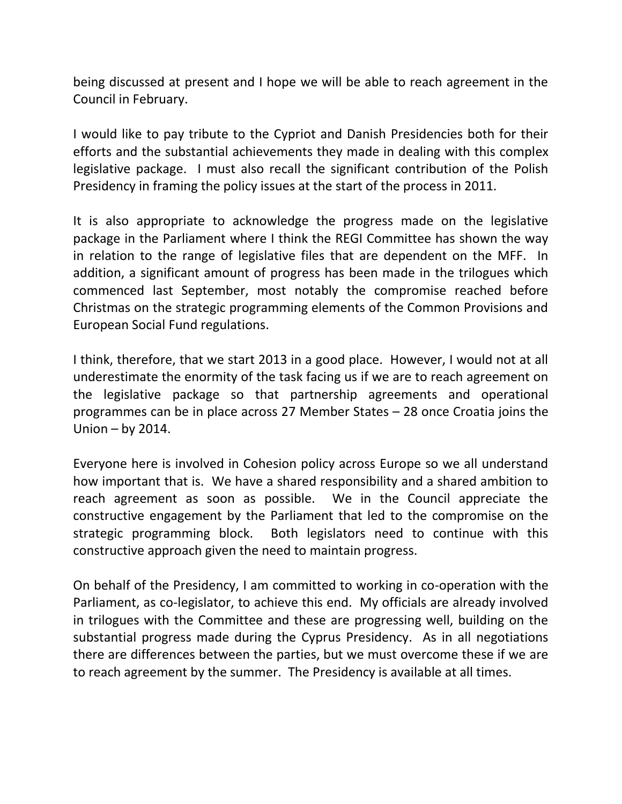being discussed at present and I hope we will be able to reach agreement in the Council in February.

I would like to pay tribute to the Cypriot and Danish Presidencies both for their efforts and the substantial achievements they made in dealing with this complex legislative package. I must also recall the significant contribution of the Polish Presidency in framing the policy issues at the start of the process in 2011.

It is also appropriate to acknowledge the progress made on the legislative package in the Parliament where I think the REGI Committee has shown the way in relation to the range of legislative files that are dependent on the MFF. In addition, a significant amount of progress has been made in the trilogues which commenced last September, most notably the compromise reached before Christmas on the strategic programming elements of the Common Provisions and European Social Fund regulations.

I think, therefore, that we start 2013 in a good place. However, I would not at all underestimate the enormity of the task facing us if we are to reach agreement on the legislative package so that partnership agreements and operational programmes can be in place across 27 Member States – 28 once Croatia joins the Union – by 2014.

Everyone here is involved in Cohesion policy across Europe so we all understand how important that is. We have a shared responsibility and a shared ambition to reach agreement as soon as possible. We in the Council appreciate the constructive engagement by the Parliament that led to the compromise on the strategic programming block. Both legislators need to continue with this constructive approach given the need to maintain progress.

On behalf of the Presidency, I am committed to working in co-operation with the Parliament, as co-legislator, to achieve this end. My officials are already involved in trilogues with the Committee and these are progressing well, building on the substantial progress made during the Cyprus Presidency. As in all negotiations there are differences between the parties, but we must overcome these if we are to reach agreement by the summer. The Presidency is available at all times.